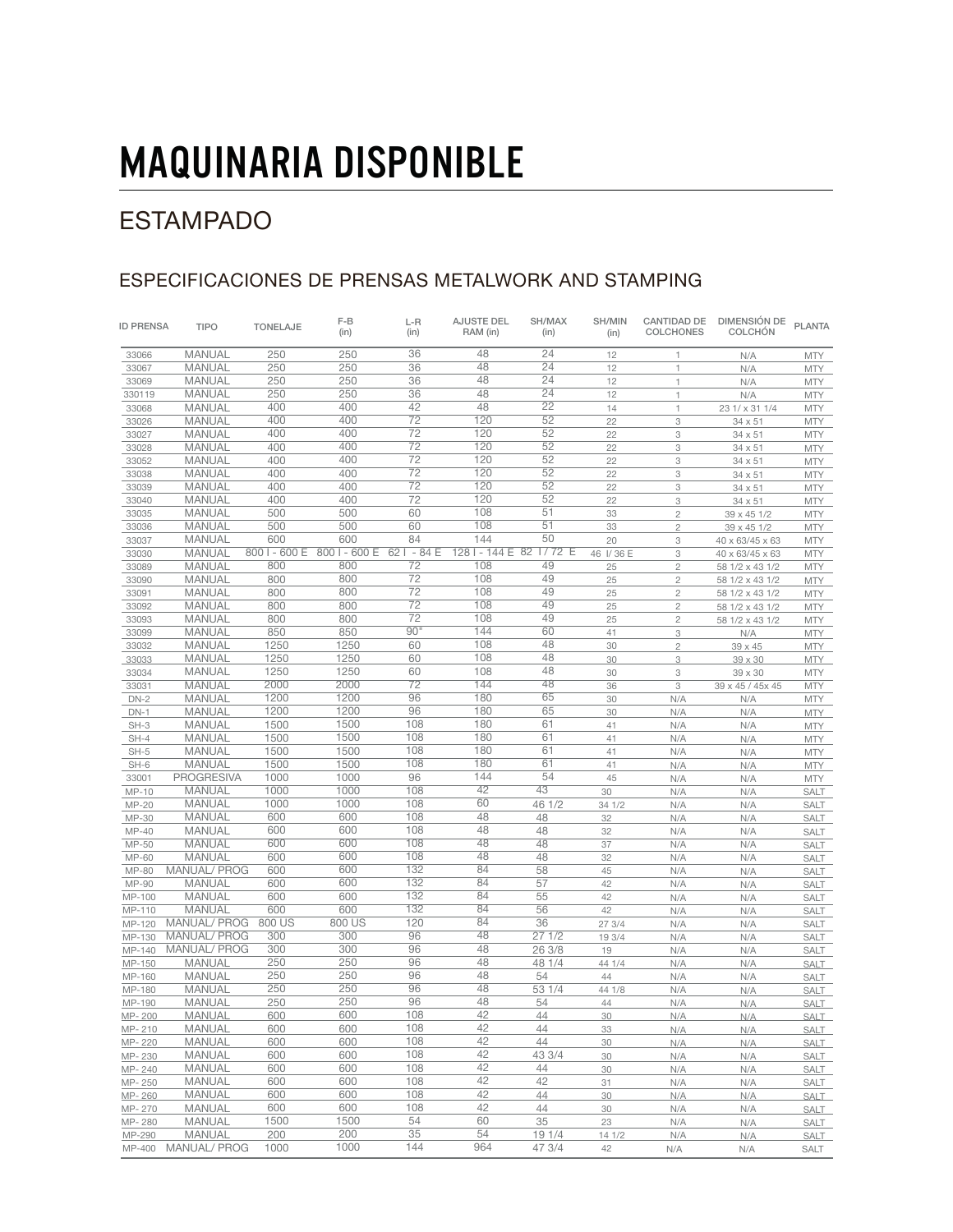## ESTAMPADO

### ESPECIFICACIONES DE PRENSAS METALWORK AND STAMPING

| <b>ID PRENSA</b> | <b>TIPO</b>         | <b>TONELAJE</b> | $F-B$<br>(in) | $L-R$<br>(in) | <b>AJUSTE DEL</b><br>RAM (in) | SH/MAX<br>(in)  | SH/MIN<br>(in) | CANTIDAD DE<br><b>COLCHONES</b> | DIMENSIÓN DE<br><b>COLCHÓN</b> | <b>PLANTA</b> |
|------------------|---------------------|-----------------|---------------|---------------|-------------------------------|-----------------|----------------|---------------------------------|--------------------------------|---------------|
| 33066            | MANUAL              | 250             | 250           | 36            | 48                            | 24              | 12             | 1                               | N/A                            | <b>MTY</b>    |
| 33067            | <b>MANUAL</b>       | 250             | 250           | 36            | 48                            | 24              | 12             | $\uparrow$                      | N/A                            | <b>MTY</b>    |
| 33069            | <b>MANUAL</b>       | 250             | 250           | 36            | 48                            | 24              | 12             | 1                               | N/A                            | <b>MTY</b>    |
| 330119           | <b>MANUAL</b>       | 250             | 250           | 36            | 48                            | $\overline{24}$ | 12             | 1                               | N/A                            | <b>MTY</b>    |
| 33068            | <b>MANUAL</b>       | 400             | 400           | 42            | 48                            | 22              | 14             | $\mathbf{1}$                    | 23 1/ x 31 1/4                 | <b>MTY</b>    |
| 33026            | <b>MANUAL</b>       | 400             | 400           | 72            | 120                           | 52              | 22             | 3                               | 34 x 51                        | <b>MTY</b>    |
| 33027            | <b>MANUAL</b>       | 400             | 400           | 72            | 120                           | 52              | 22             | 3                               | 34 x 51                        | <b>MTY</b>    |
| 33028            | <b>MANUAL</b>       | 400             | 400           | 72            | 120                           | 52              | 22             | 3                               | 34 x 51                        | <b>MTY</b>    |
| 33052            | <b>MANUAL</b>       | 400             | 400           | 72            | 120                           | 52              | 22             | $\ensuremath{\mathsf{3}}$       | 34 x 51                        | <b>MTY</b>    |
| 33038            | MANUAL              | 400             | 400           | 72            | 120                           | 52              | 22             | 3                               | 34 x 51                        | <b>MTY</b>    |
| 33039            | <b>MANUAL</b>       | 400             | 400           | 72            | 120                           | 52              | 22             | 3                               | 34 x 51                        | <b>MTY</b>    |
| 33040            | <b>MANUAL</b>       | 400             | 400           | 72            | 120                           | 52              | 22             | $\ensuremath{\mathsf{3}}$       | 34 x 51                        | <b>MTY</b>    |
| 33035            | <b>MANUAL</b>       | 500             | 500           | 60            | 108                           | 51              | 33             | $\overline{c}$                  | 39 x 45 1/2                    | <b>MTY</b>    |
| 33036            | <b>MANUAL</b>       | 500             | 500           | 60            | 108                           | 51              | 33             | $\mathbf{2}$                    | 39 x 45 1/2                    | <b>MTY</b>    |
| 33037            | <b>MANUAL</b>       | 600             | 600           | 84            | 144                           | 50              | 20             | 3                               | 40 x 63/45 x 63                | <b>MTY</b>    |
| 33030            | <b>MANUAL</b>       | 800 I - 600 E   | 800 I - 600 E | $621 - 84E$   | 128 l - 144 E 82 l / 72 E     |                 | 46 I/36 E      | 3                               | 40 x 63/45 x 63                | <b>MTY</b>    |
| 33089            | <b>MANUAL</b>       | 800             | 800           | 72            | 108                           | 49              | 25             | $\overline{c}$                  | 58 1/2 x 43 1/2                | <b>MTY</b>    |
| 33090            | <b>MANUAL</b>       | 800             | 800           | 72            | 108                           | 49              | 25             | $\overline{c}$                  | 58 1/2 x 43 1/2                | <b>MTY</b>    |
| 33091            | <b>MANUAL</b>       | 800             | 800           | 72            | 108                           | 49              | 25             | $\overline{c}$                  | 58 1/2 x 43 1/2                | <b>MTY</b>    |
| 33092            | <b>MANUAL</b>       | 800             | 800           | 72            | 108                           | 49              | 25             | $\overline{c}$                  | 58 1/2 x 43 1/2                | <b>MTY</b>    |
| 33093            | <b>MANUAL</b>       | 800             | 800           | 72            | 108                           | 49              | 25             | $\overline{c}$                  | 58 1/2 x 43 1/2                | <b>MTY</b>    |
| 33099            | <b>MANUAL</b>       | 850             | 850           | 90"           | 144                           | 60              | 41             | 3                               | N/A                            | <b>MTY</b>    |
| 33032            | <b>MANUAL</b>       | 1250            | 1250          | 60            | 108                           | 48              | 30             | $\overline{c}$                  | 39 x 45                        | <b>MTY</b>    |
| 33033            | <b>MANUAL</b>       | 1250            | 1250          | 60            | 108                           | 48              | 30             | 3                               | 39 x 30                        | <b>MTY</b>    |
| 33034            | <b>MANUAL</b>       | 1250            | 1250          | 60            | 108                           | 48              | 30             | 3                               | 39 x 30                        | <b>MTY</b>    |
| 33031            | <b>MANUAL</b>       | 2000            | 2000          | 72            | 144                           | 48              | 36             | 3                               | 39 x 45 / 45 x 45              | <b>MTY</b>    |
| $DN-2$           | <b>MANUAL</b>       | 1200            | 1200          | 96            | 180                           | 65              | 30             | N/A                             | N/A                            | <b>MTY</b>    |
| $DN-1$           | <b>MANUAL</b>       | 1200            | 1200          | 96            | 180                           | 65              | 30             | N/A                             | N/A                            | <b>MTY</b>    |
| $SH-3$           | <b>MANUAL</b>       | 1500            | 1500          | 108           | 180                           | 61              | 41             | N/A                             | N/A                            | <b>MTY</b>    |
| $SH-4$           | <b>MANUAL</b>       | 1500            | 1500          | 108           | 180                           | 61              | 41             | N/A                             | N/A                            | <b>MTY</b>    |
| $SH-5$           | <b>MANUAL</b>       | 1500            | 1500          | 108           | 180                           | 61              | 41             | N/A                             | N/A                            | <b>MTY</b>    |
| $SH-6$           | <b>MANUAL</b>       | 1500            | 1500          | 108           | 180                           | 61              | 41             | N/A                             | N/A                            | <b>MTY</b>    |
| 33001            | <b>PROGRESIVA</b>   | 1000            | 1000          | 96            | 144                           | 54              | 45             | N/A                             | N/A                            | <b>MTY</b>    |
| MP-10            | MANUAL              | 1000            | 1000          | 108           | 42                            | 43              | 30             | N/A                             | N/A                            | SALT          |
| MP-20            | <b>MANUAL</b>       | 1000            | 1000          | 108           | 60                            | 46 1/2          | 34 1/2         | N/A                             | N/A                            | SALT          |
| MP-30            | <b>MANUAL</b>       | 600             | 600           | 108           | 48                            | 48              | 32             | N/A                             | N/A                            | SALT          |
| $MP-40$          | <b>MANUAL</b>       | 600             | 600           | 108           | 48                            | 48              | 32             | N/A                             | N/A                            | <b>SALT</b>   |
| MP-50            | <b>MANUAL</b>       | 600             | 600           | 108           | 48                            | 48              | 37             | N/A                             | N/A                            | <b>SALT</b>   |
| MP-60            | <b>MANUAL</b>       | 600             | 600           | 108           | 48                            | 48              | 32             | N/A                             | N/A                            | <b>SALT</b>   |
| MP-80            | MANUAL/ PROG        | 600             | 600           | 132           | 84                            | 58              | 45             | N/A                             | N/A                            | <b>SALT</b>   |
| MP-90            | MANUAL              | 600             | 600           | 132           | 84                            | 57              | 42             | N/A                             | N/A                            | <b>SALT</b>   |
| MP-100           | <b>MANUAL</b>       | 600             | 600           | 132           | 84                            | 55              | 42             | N/A                             | N/A                            | <b>SALT</b>   |
| MP-110           | <b>MANUAL</b>       | 600             | 600           | 132           | 84                            | 56              | 42             | N/A                             | N/A                            | <b>SALT</b>   |
| MP-120           | MANUAL/ PROG        | 800 US          | 800 US        | 120           | 84                            | 36              | 27 3/4         | N/A                             | N/A                            | <b>SALT</b>   |
| MP-130           | <b>MANUAL/ PROG</b> | 300             | 300           | 96            | 48                            | 271/2           | 19 3/4         | N/A                             | N/A                            | <b>SALT</b>   |
| MP-140           | <b>MANUAL/ PROG</b> | 300             | 300           | 96            | 48                            | 26 3/8          | 19             | N/A                             | N/A                            | SALT          |
| MP-150           | MANUAL              | 250             | 250           | 96            | 48                            | 48 1/4          | 44 1/4         | N/A                             | N/A                            | <b>SALT</b>   |
| MP-160           | <b>MANUAL</b>       | 250             | 250           | 96            | 48                            | 54              | 44             | N/A                             | N/A                            | <b>SALT</b>   |
| MP-180           | <b>MANUAL</b>       | 250             | 250           | 96            | 48                            | 53 1/4          | 44 1/8         | N/A                             | N/A                            | <b>SALT</b>   |
| MP-190           | <b>MANUAL</b>       | 250             | 250           | 96            | 48                            | 54              | 44             | N/A                             | N/A                            | <b>SALT</b>   |
| MP-200           | <b>MANUAL</b>       | 600             | 600           | 108           | 42                            | 44              | 30             | N/A                             | N/A                            | <b>SALT</b>   |
| MP-210           | <b>MANUAL</b>       | 600             | 600           | 108           | 42                            | 44              | 33             | N/A                             | N/A                            | <b>SALT</b>   |
| MP-220           | MANUAL              | 600             | 600           | 108           | 42                            | 44              | 30             | N/A                             | N/A                            | <b>SALT</b>   |
| MP-230           | MANUAL              | 600             | 600           | 108           | 42                            | 43 3/4          | 30             | N/A                             | N/A                            | SALT          |
| MP-240           | MANUAL              | 600             | 600           | 108           | 42                            | 44              | 30             | N/A                             | N/A                            | <b>SALT</b>   |
| MP-250           | MANUAL              | 600             | 600           | 108           | 42                            | 42              | 31             | N/A                             | N/A                            | SALT          |
| MP-260           | MANUAL              | 600             | 600           | 108           | 42                            | 44              | 30             | N/A                             | N/A                            | <b>SALT</b>   |
| MP-270           | MANUAL              | 600             | 600           | 108           | 42                            | 44              | 30             | N/A                             | N/A                            | <b>SALT</b>   |
| MP-280           | MANUAL              | 1500            | 1500          | 54            | 60                            | 35              | 23             | N/A                             | N/A                            | <b>SALT</b>   |
| MP-290           | <b>MANUAL</b>       | 200             | 200           | 35            | 54                            | 19 1/4          | 141/2          | N/A                             | N/A                            | SALT          |
| MP-400           | <b>MANUAL/ PROG</b> | 1000            | 1000          | 144           | 964                           | 47 3/4          | 42             | N/A                             | N/A                            | SALT          |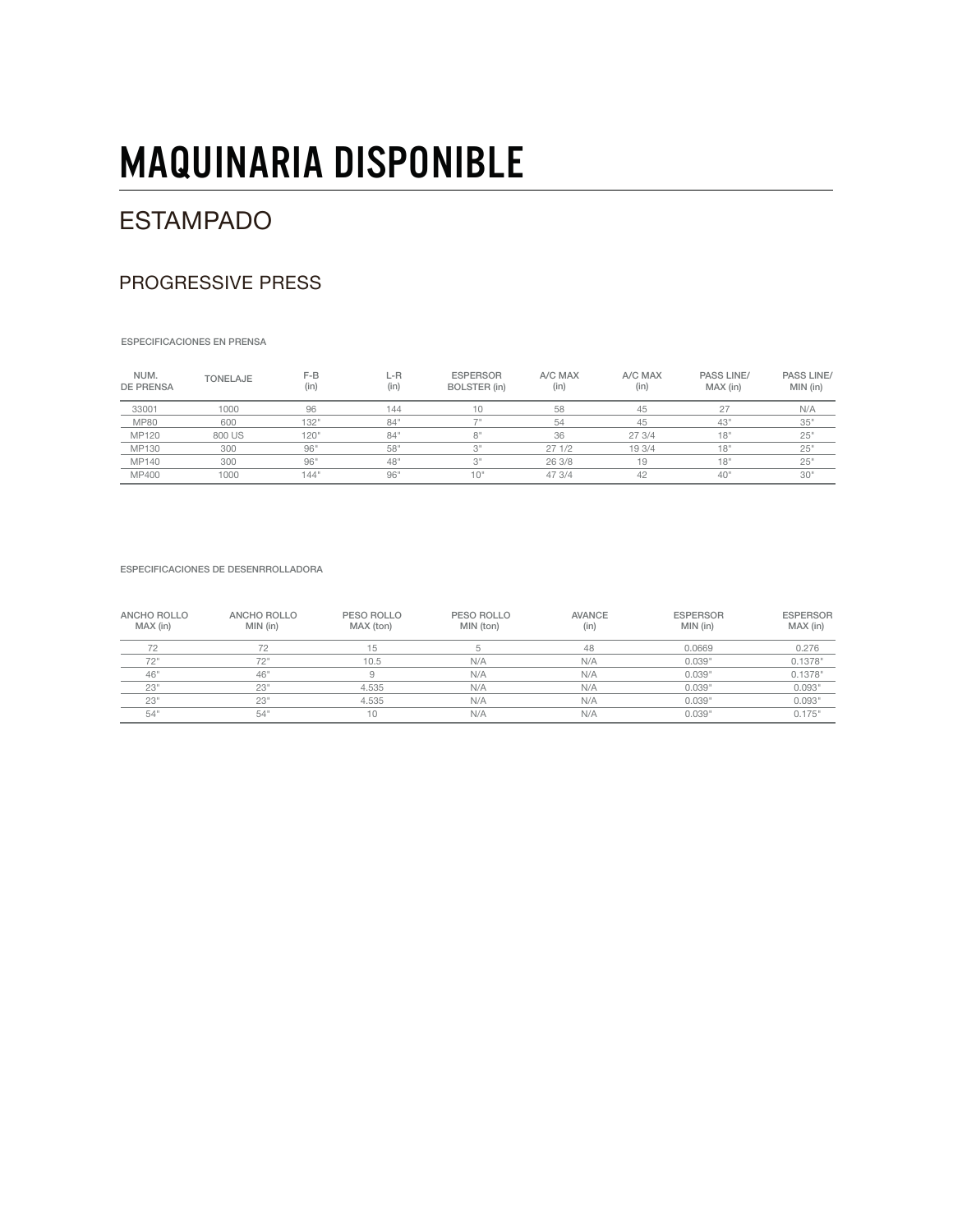### ESTAMPADO

#### PROGRESSIVE PRESS

ESPECIFICACIONES EN PRENSA

| NUM.<br><b>DE PRENSA</b> | <b>TONELAJE</b> | $F-B$<br>(in) | L-R<br>(in) | <b>ESPERSOR</b><br>BOLSTER (in) | A/C MAX<br>(in) | A/C MAX<br>(in) | <b>PASS LINE/</b><br>MAX (in) | <b>PASS LINE/</b><br>MIN (in) |
|--------------------------|-----------------|---------------|-------------|---------------------------------|-----------------|-----------------|-------------------------------|-------------------------------|
| 33001                    | 1000            | 96            | 144         | 10                              | 58              | 45              | 27                            | N/A                           |
| <b>MP80</b>              | 600             | 132"          | 84          |                                 | 54              | 45              | 43"                           | 35"                           |
| MP120                    | 800 US          | 120"          | 84          | R                               | 36              | 27 3/4          | 18"                           | 25"                           |
| MP130                    | 300             | 96"           | 58'         | 3"                              | 271/2           | 19 3/4          | 18"                           | 25"                           |
| MP140                    | 300             | 96"           | 48'         | 3"                              | 26 3/8          | 19              | 18"                           | 25"                           |
| MP400                    | 1000            | 144"          | 96          | 10"                             | 47 3/4          | 42              | 40 <sup>1</sup>               | 30"                           |

ESPECIFICACIONES DE DESENRROLLADORA

| ANCHO ROLLO<br>MAX (in) | ANCHO ROLLO<br>MIN (in) | PESO ROLLO<br>MAX (ton) | PESO ROLLO<br>MIN (ton) | <b>AVANCE</b><br>(in) | <b>ESPERSOR</b><br>MIN (in) | <b>ESPERSOR</b><br>MAX (in) |
|-------------------------|-------------------------|-------------------------|-------------------------|-----------------------|-----------------------------|-----------------------------|
| 72                      |                         | 15                      |                         | 48                    | 0.0669                      | 0.276                       |
| 72"                     | 70 !!                   | 10.5                    | N/A                     | N/A                   | 0.039"                      | 0.1378"                     |
| 46"                     | 46"                     | 9                       | N/A                     | N/A                   | 0.039"                      | 0.1378"                     |
| 23"                     | 23'                     | 4.535                   | N/A                     | N/A                   | 0.039"                      | 0.093"                      |
| 23"                     | 23"                     | 4.535                   | N/A                     | N/A                   | 0.039"                      | 0.093"                      |
| 54"                     | 54                      | 10                      | N/A                     | N/A                   | 0.039"                      | 0.175"                      |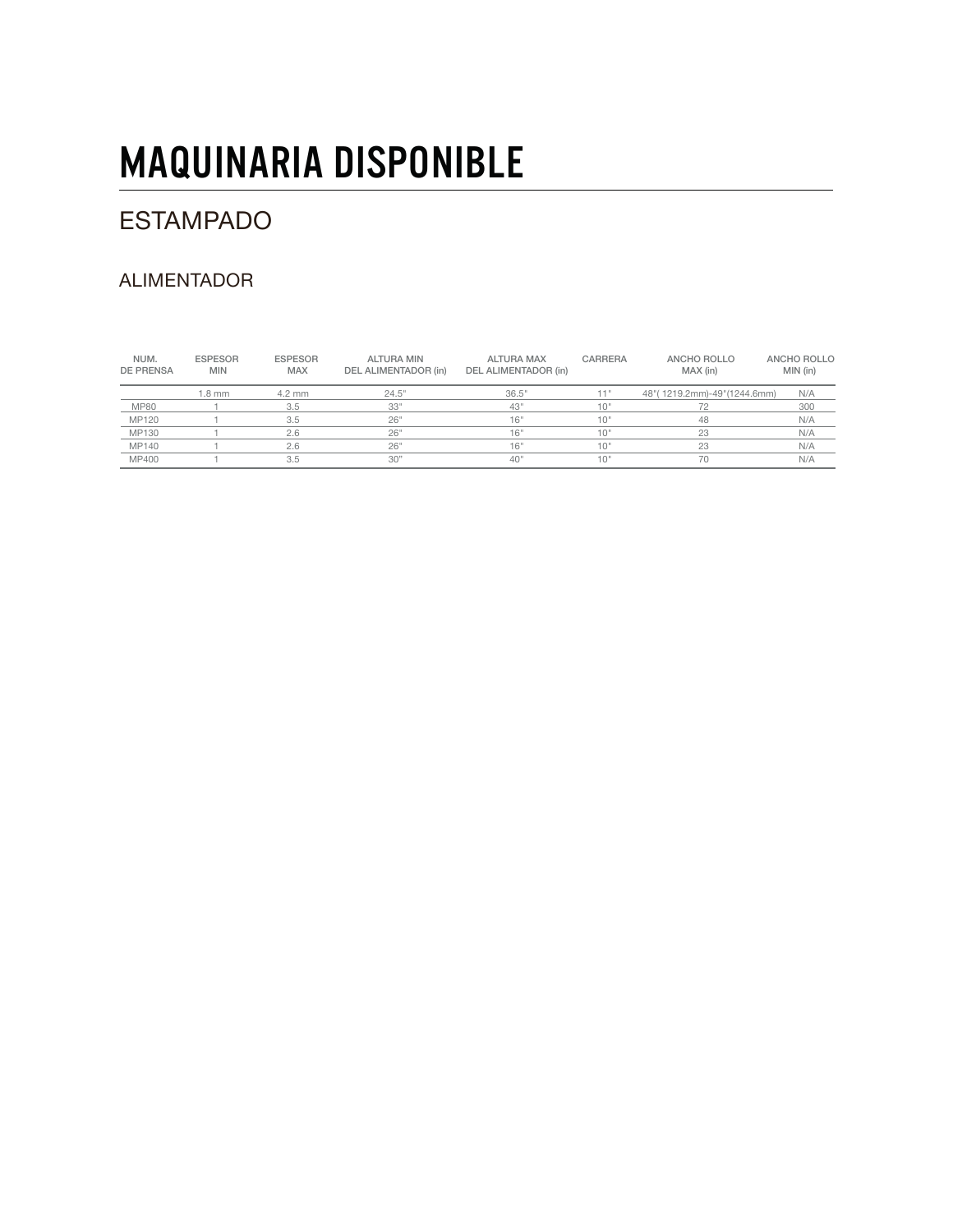## ESTAMPADO

### ALIMENTADOR

| NUM.<br><b>DE PRENSA</b> | <b>ESPESOR</b><br><b>MIN</b> | <b>ESPESOR</b><br><b>MAX</b> | <b>ALTURA MIN</b><br>DEL ALIMENTADOR (in) | <b>ALTURA MAX</b><br>DEL ALIMENTADOR (in) | <b>CARRERA</b> | ANCHO ROLLO<br>MAX (in)         | ANCHO ROLLO<br>MIN (in) |
|--------------------------|------------------------------|------------------------------|-------------------------------------------|-------------------------------------------|----------------|---------------------------------|-------------------------|
|                          | 1.8 mm                       | $4.2 \text{ mm}$             | 24.5"                                     | 36.5"                                     | 11"            | 48" (1219.2mm) - 49" (1244.6mm) | N/A                     |
| <b>MP80</b>              |                              | 3.5                          | 33"                                       | 43"                                       | 10"            |                                 | 300                     |
| MP120                    |                              | 3.5                          | 26"                                       | 16"                                       | 10'            | 48                              | N/A                     |
| MP130                    |                              | 2.6                          | 26"                                       | 16"                                       | 10"            | 23                              | N/A                     |
| MP140                    |                              | 2.6                          | 26"                                       | 16"                                       | 10"            | 23                              | N/A                     |
| MP400                    |                              | 3.5                          | 30"                                       | 40"                                       | 10"            | 70                              | N/A                     |